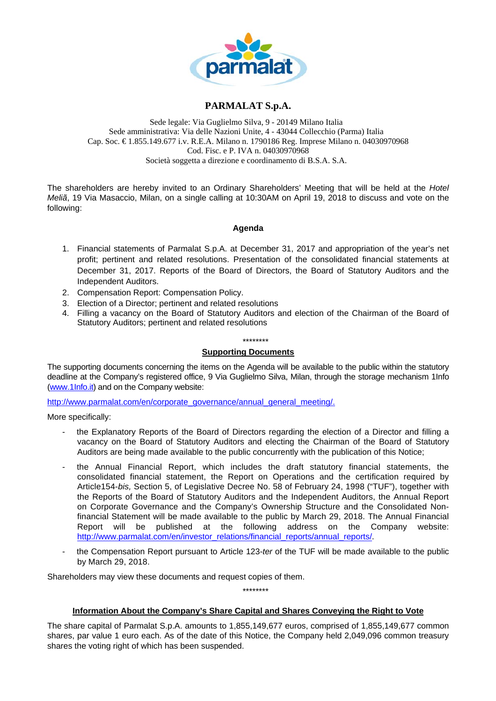

# **PARMALAT S.p.A.**

Sede legale: Via Guglielmo Silva, 9 - 20149 Milano Italia Sede amministrativa: Via delle Nazioni Unite, 4 - 43044 Collecchio (Parma) Italia Cap. Soc. € 1.855.149.677 i.v. R.E.A. Milano n. 1790186 Reg. Imprese Milano n. 04030970968 Cod. Fisc. e P. IVA n. 04030970968 Società soggetta a direzione e coordinamento di B.S.A. S.A.

The shareholders are hereby invited to an Ordinary Shareholders' Meeting that will be held at the *Hotel Meliã*, 19 Via Masaccio, Milan, on a single calling at 10:30AM on April 19, 2018 to discuss and vote on the following:

## **Agenda**

- 1. Financial statements of Parmalat S.p.A. at December 31, 2017 and appropriation of the year's net profit; pertinent and related resolutions. Presentation of the consolidated financial statements at December 31, 2017. Reports of the Board of Directors, the Board of Statutory Auditors and the Independent Auditors.
- 2. Compensation Report: Compensation Policy.
- 3. Election of a Director; pertinent and related resolutions
- 4. Filling a vacancy on the Board of Statutory Auditors and election of the Chairman of the Board of Statutory Auditors; pertinent and related resolutions

#### \*\*\*\*\*\*\*\*

### **Supporting Documents**

The supporting documents concerning the items on the Agenda will be available to the public within the statutory deadline at the Company's registered office, 9 Via Guglielmo Silva, Milan, through the storage mechanism 1Info (www.1Info.it) and on the Company website:

http://www.parmalat.com/en/corporate\_governance/annual\_general\_meeting/.

More specifically:

- the Explanatory Reports of the Board of Directors regarding the election of a Director and filling a vacancy on the Board of Statutory Auditors and electing the Chairman of the Board of Statutory Auditors are being made available to the public concurrently with the publication of this Notice;
- the Annual Financial Report, which includes the draft statutory financial statements, the consolidated financial statement, the Report on Operations and the certification required by Article154-*bis,* Section 5, of Legislative Decree No. 58 of February 24, 1998 ("TUF"), together with the Reports of the Board of Statutory Auditors and the Independent Auditors, the Annual Report on Corporate Governance and the Company's Ownership Structure and the Consolidated Nonfinancial Statement will be made available to the public by March 29, 2018. The Annual Financial Report will be published at the following address on the Company website: http://www.parmalat.com/en/investor\_relations/financial\_reports/annual\_reports/.
- the Compensation Report pursuant to Article 123*-ter* of the TUF will be made available to the public by March 29, 2018.

\*\*\*\*\*\*\*\*

Shareholders may view these documents and request copies of them.

## **Information About the Company's Share Capital and Shares Conveying the Right to Vote**

The share capital of Parmalat S.p.A. amounts to 1,855,149,677 euros, comprised of 1,855,149,677 common shares, par value 1 euro each. As of the date of this Notice, the Company held 2,049,096 common treasury shares the voting right of which has been suspended.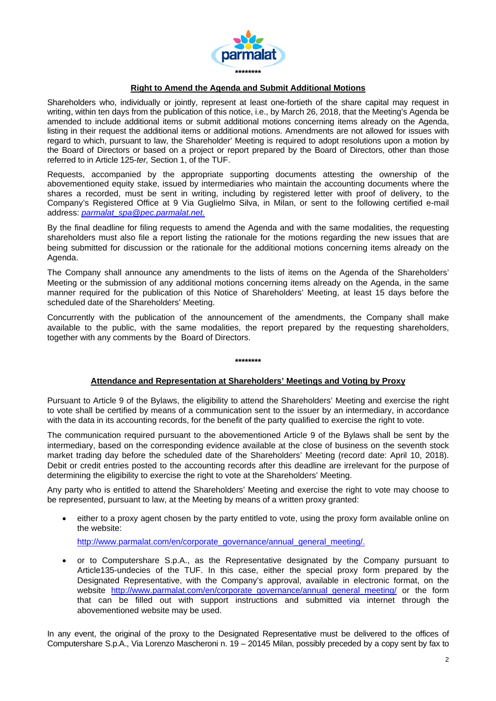

## **Right to Amend the Agenda and Submit Additional Motions**

Shareholders who, individually or jointly, represent at least one-fortieth of the share capital may request in writing, within ten days from the publication of this notice, i.e., by March 26, 2018, that the Meeting's Agenda be amended to include additional items or submit additional motions concerning items already on the Agenda, listing in their request the additional items or additional motions. Amendments are not allowed for issues with regard to which, pursuant to law, the Shareholder' Meeting is required to adopt resolutions upon a motion by the Board of Directors or based on a project or report prepared by the Board of Directors, other than those referred to in Article 125-*ter,* Section 1, of the TUF.

Requests, accompanied by the appropriate supporting documents attesting the ownership of the abovementioned equity stake, issued by intermediaries who maintain the accounting documents where the shares a recorded, must be sent in writing, including by registered letter with proof of delivery, to the Company's Registered Office at 9 Via Guglielmo Silva, in Milan, or sent to the following certified e-mail address: *parmalat\_spa@pec.parmalat.net.* 

By the final deadline for filing requests to amend the Agenda and with the same modalities, the requesting shareholders must also file a report listing the rationale for the motions regarding the new issues that are being submitted for discussion or the rationale for the additional motions concerning items already on the Agenda.

The Company shall announce any amendments to the lists of items on the Agenda of the Shareholders' Meeting or the submission of any additional motions concerning items already on the Agenda, in the same manner required for the publication of this Notice of Shareholders' Meeting, at least 15 days before the scheduled date of the Shareholders' Meeting.

Concurrently with the publication of the announcement of the amendments, the Company shall make available to the public, with the same modalities, the report prepared by the requesting shareholders, together with any comments by the Board of Directors.

#### **\*\*\*\*\*\*\*\***

### **Attendance and Representation at Shareholders' Meetings and Voting by Proxy**

Pursuant to Article 9 of the Bylaws, the eligibility to attend the Shareholders' Meeting and exercise the right to vote shall be certified by means of a communication sent to the issuer by an intermediary, in accordance with the data in its accounting records, for the benefit of the party qualified to exercise the right to vote.

The communication required pursuant to the abovementioned Article 9 of the Bylaws shall be sent by the intermediary, based on the corresponding evidence available at the close of business on the seventh stock market trading day before the scheduled date of the Shareholders' Meeting (record date: April 10, 2018). Debit or credit entries posted to the accounting records after this deadline are irrelevant for the purpose of determining the eligibility to exercise the right to vote at the Shareholders' Meeting.

Any party who is entitled to attend the Shareholders' Meeting and exercise the right to vote may choose to be represented, pursuant to law, at the Meeting by means of a written proxy granted:

 either to a proxy agent chosen by the party entitled to vote, using the proxy form available online on the website:

http://www.parmalat.com/en/corporate\_governance/annual\_general\_meeting/.

 or to Computershare S.p.A., as the Representative designated by the Company pursuant to Article135-undecies of the TUF. In this case, either the special proxy form prepared by the Designated Representative, with the Company's approval, available in electronic format, on the website http://www.parmalat.com/en/corporate\_governance/annual\_general\_meeting/ or the form that can be filled out with support instructions and submitted via internet through the abovementioned website may be used.

In any event, the original of the proxy to the Designated Representative must be delivered to the offices of Computershare S.p.A., Via Lorenzo Mascheroni n. 19 – 20145 Milan, possibly preceded by a copy sent by fax to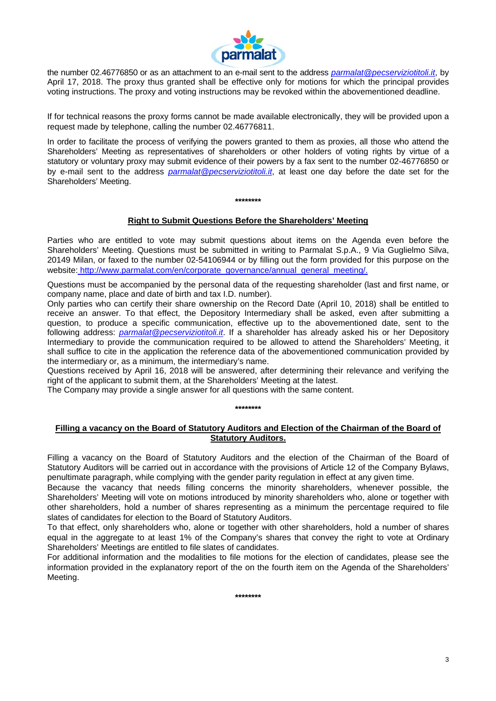

the number 02.46776850 or as an attachment to an e-mail sent to the address *parmalat@pecserviziotitoli.it*, by April 17, 2018. The proxy thus granted shall be effective only for motions for which the principal provides voting instructions. The proxy and voting instructions may be revoked within the abovementioned deadline.

If for technical reasons the proxy forms cannot be made available electronically, they will be provided upon a request made by telephone, calling the number 02.46776811.

In order to facilitate the process of verifying the powers granted to them as proxies, all those who attend the Shareholders' Meeting as representatives of shareholders or other holders of voting rights by virtue of a statutory or voluntary proxy may submit evidence of their powers by a fax sent to the number 02-46776850 or by e-mail sent to the address *parmalat@pecserviziotitoli.it*, at least one day before the date set for the Shareholders' Meeting.

**\*\*\*\*\*\*\*\***

## **Right to Submit Questions Before the Shareholders' Meeting**

Parties who are entitled to vote may submit questions about items on the Agenda even before the Shareholders' Meeting. Questions must be submitted in writing to Parmalat S.p.A., 9 Via Guglielmo Silva, 20149 Milan, or faxed to the number 02-54106944 or by filling out the form provided for this purpose on the website: http://www.parmalat.com/en/corporate\_governance/annual\_general\_meeting/.

Questions must be accompanied by the personal data of the requesting shareholder (last and first name, or company name, place and date of birth and tax I.D. number).

Only parties who can certify their share ownership on the Record Date (April 10, 2018) shall be entitled to receive an answer. To that effect, the Depository Intermediary shall be asked, even after submitting a question, to produce a specific communication, effective up to the abovementioned date, sent to the following address: *parmalat@pecserviziotitoli.it*. If a shareholder has already asked his or her Depository Intermediary to provide the communication required to be allowed to attend the Shareholders' Meeting, it shall suffice to cite in the application the reference data of the abovementioned communication provided by the intermediary or, as a minimum, the intermediary's name.

Questions received by April 16, 2018 will be answered, after determining their relevance and verifying the right of the applicant to submit them, at the Shareholders' Meeting at the latest.

The Company may provide a single answer for all questions with the same content.

**\*\*\*\*\*\*\*\*** 

## **Filling a vacancy on the Board of Statutory Auditors and Election of the Chairman of the Board of Statutory Auditors.**

Filling a vacancy on the Board of Statutory Auditors and the election of the Chairman of the Board of Statutory Auditors will be carried out in accordance with the provisions of Article 12 of the Company Bylaws, penultimate paragraph, while complying with the gender parity regulation in effect at any given time.

Because the vacancy that needs filling concerns the minority shareholders, whenever possible, the Shareholders' Meeting will vote on motions introduced by minority shareholders who, alone or together with other shareholders, hold a number of shares representing as a minimum the percentage required to file slates of candidates for election to the Board of Statutory Auditors.

To that effect, only shareholders who, alone or together with other shareholders, hold a number of shares equal in the aggregate to at least 1% of the Company's shares that convey the right to vote at Ordinary Shareholders' Meetings are entitled to file slates of candidates.

For additional information and the modalities to file motions for the election of candidates, please see the information provided in the explanatory report of the on the fourth item on the Agenda of the Shareholders' Meeting.

**\*\*\*\*\*\*\*\***